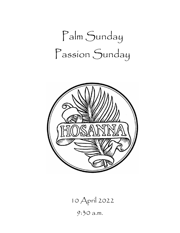Palm Sunday Passion Sunday



10 April 2022 9:30 a.m.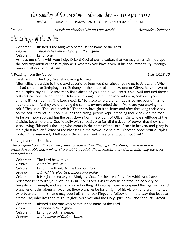The Sunday of the Passion: Palm Sunday  $\sim$  10 April 2022

9:30 a.m. LITURGY OF THE PALMS, PASSION GOSPEL, AND HOLY EUCHARIST

Prelude **March on Handel's "Lift up your heads"** Alexandre Guilmant

# The Liturgy of the Palms

Celebrant: Blessed is the King who comes in the name of the Lord. People: Peace in heaven and glory in the highest. Celebrant: Let us pray. Assist us mercifully with your help, O Lord God of our salvation, that we may enter with joy upon the contemplation of those mighty acts, whereby you have given us life and immortality; through

## A Reading from the Gospel **Example 28** and the Second Luke 19:28-40 **Luke 19:28-40**

Jesus Christ our Lord. Amen.

Celebrant: The Holy Gospel according to Luke.

After telling a parable to the crowd at Jericho, Jesus went on ahead, going up to Jerusalem. When he had come near Bethphage and Bethany, at the place called the Mount of Olives, he sent two of the disciples, saying, "Go into the village ahead of you, and as you enter it you will find tied there a colt that has never been ridden. Untie it and bring it here. If anyone asks you, 'Why are you untying it?' just say this, 'The Lord needs it.'" So those who were sent departed and found it as he had told them. As they were untying the colt, its owners asked them, "Why are you untying the colt?" They said, "The Lord needs it." Then they brought it to Jesus; and after throwing their cloaks on the colt, they set Jesus on it. As he rode along, people kept spreading their cloaks on the road. As he was now approaching the path down from the Mount of Olives, the whole multitude of the disciples began to praise God joyfully with a loud voice for all the deeds of power that they had seen, saying, "Blessed is the king who comes in the name of the Lord! Peace in heaven, and glory in the highest heaven!" Some of the Pharisees in the crowd said to him, "Teacher, order your disciples to stop." He answered, "I tell you, if these were silent, the stones would shout out."

Blessing over the Branches

The congregation will raise their palms to receive their Blessing of the Palms, then join in the procession as able and willing. Those wishing to join the procession may step in following the cross and celebrant.

Celebrant: The Lord be with you. People: And also with you. Celebrant: Let us give thanks to the Lord our God. People: It is right to give God thanks and praise.

Celebrant: It is right to praise you, Almighty God, for the acts of love by which you have redeemed us through your Son Jesus Christ our Lord. On this day he entered the holy city of Jerusalem in triumph, and was proclaimed as King of kings by those who spread their garments and branches of palm along his way. Let these branches be for us signs of his victory, and grant that we who bear them in his name may ever hail him as our King, and follow him in the way that leads to eternal life; who lives and reigns in glory with you and the Holy Spirit, now and for ever. Amen.

Celebrant: Blessed is the one who comes in the name of the Lord. People: Hosanna in the highest. Celebrant: Let us go forth in peace; People: In the name of Christ. Amen.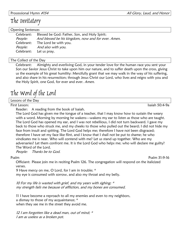# The Invitatory

## Opening Sentences

| Celebrant:     | Blessed be God: Father, Son, and Holy Spirit;       |
|----------------|-----------------------------------------------------|
| <i>People:</i> | And blessed be his kingdom, now and for ever. Amen. |
| Celebrant:     | The Lord be with you.                               |
| <i>People:</i> | And also with you.                                  |
| Celebrant:     | Let us pray.                                        |

## The Collect of the Day

Celebrant: Almighty and everliving God, in your tender love for the human race you sent your Son our Savior Jesus Christ to take upon him our nature, and to suffer death upon the cross, giving us the example of his great humility: Mercifully grant that we may walk in the way of his suffering, and also share in his resurrection; through Jesus Christ our Lord, who lives and reigns with you and the Holy Spirit, one God, for ever and ever. Amen.

# The Word of the Lord

Lessons of the Day

First Lesson: Isaiah 50:4-9a

Reader: A reading from the book of Isaiah.

The Lord God has given me the tongue of a teacher, that I may know how to sustain the weary with a word. Morning by morning he wakens—wakens my ear to listen as those who are taught. The Lord God has opened my ear, and I was not rebellious, I did not turn backward. I gave my back to those who struck me, and my cheeks to those who pulled out the beard; I did not hide my face from insult and spitting. The Lord God helps me; therefore I have not been disgraced; therefore I have set my face like flint, and I know that I shall not be put to shame; he who vindicates me is near. Who will contend with me? Let us stand up together. Who are my adversaries? Let them confront me. It is the Lord God who helps me; who will declare me guilty? The Word of the Lord.

People: Thanks be to God.

Psalm Psalm 31:9-16

Officiant: Please join me in reciting Psalm 126. The congregation will respond on the italicized verses.

9 Have mercy on me, O Lord, for I am in trouble; \*

my eye is consumed with sorrow, and also my throat and my belly.

10 For my life is wasted with grief, and my years with sighing; \* my strength fails me because of affliction, and my bones are consumed.

11 I have become a reproach to all my enemies and even to my neighbors, a dismay to those of my acquaintance; \* when they see me in the street they avoid me.

12 I am forgotten like a dead man, out of mind; \* I am as useless as a broken pot.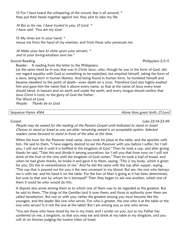13 For I have heard the whispering of the crowd; fear is all around; \* they put their heads together against me; they plot to take my life.

14 But as for me, I have trusted in you, O Lord. \* I have said, "You are my God.

15 My times are in your hand; \* rescue me from the hand of my enemies, and from those who persecute me.

16 Make your face to shine upon your servant, \* and in your loving-kindness save me."

Reader: A reading from the letter to the Philippians.

Let the same mind be in you that was in Christ Jesus, who, though he was in the form of God, did not regard equality with God as something to be exploited, but emptied himself, taking the form of a slave, being born in human likeness. And being found in human form, he humbled himself and became obedient to the point of death—even death on a cross. Therefore God also highly exalted him and gave him the name that is above every name, so that at the name of Jesus every knee should bend, in heaven and on earth and under the earth, and every tongue should confess that Jesus Christ is Lord, to the glory of God the Father.

The Word of Lord. People: Thanks be to God.

Alone thou goest forth, O Lord

Gospel Luke 22:14-23:49

People may be seated for the reading of the Passion Gospel until indicated to stand or kneel. Choose to stand or kneel as you are able; remaining seated is an acceptable option. Selected readers come forward to stand in front of the altar at this time.

When the hour for the Passover meal came, Jesus took his place at the table, and the apostles with him. He said to them, "I have eagerly desired to eat this Passover with you before I suffer; for I tell you, I will not eat it until it is fulfilled in the kingdom of God." Then he took a cup, and after giving thanks he said, "Take this and divide it among yourselves; for I tell you that from now on I will not drink of the fruit of the vine until the kingdom of God comes." Then he took a loaf of bread, and when he had given thanks, he broke it and gave it to them, saying, "This is my body, which is given for you. Do this in remembrance of me." And he did the same with the cup after supper, saying, "This cup that is poured out for you is the new covenant in my blood. But see, the one who betrays me is with me, and his hand is on the table. For the Son of Man is going as it has been determined, but woe to that one by whom he is betrayed!" Then they began to ask one another, which one of them it could be who would do this.

A dispute also arose among them as to which one of them was to be regarded as the greatest. But he said to them, "The kings of the Gentiles lord it over them; and those in authority over them are called benefactors. But not so with you; rather the greatest among you must become like the youngest, and the leader like one who serves. For who is greater, the one who is at the table or the one who serves? Is it not the one at the table? But I am among you as one who serves.

"You are those who have stood by me in my trials; and I confer on you, just as my Father has conferred on me, a kingdom, so that you may eat and drink at my table in my kingdom, and you will sit on thrones judging the twelve tribes of Israel.

Second Reading **Philippians 2:5-11**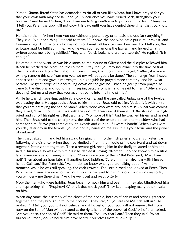"Simon, Simon, listen! Satan has demanded to sift all of you like wheat, but I have prayed for you that your own faith may not fail; and you, when once you have turned back, strengthen your brothers." And he said to him, "Lord, I am ready to go with you to prison and to death!" Jesus said, "I tell you, Peter, the cock will not crow this day, until you have denied three times that you know me."

He said to them, "When I sent you out without a purse, bag, or sandals, did you lack anything?" They said, "No, not a thing." He said to them, "But now, the one who has a purse must take it, and likewise a bag. And the one who has no sword must sell his cloak and buy one. For I tell you, this scripture must be fulfilled in me, `And he was counted among the lawless'; and indeed what is written about me is being fulfilled." They said, "Lord, look, here are two swords." He replied, "It is enough."

He came out and went, as was his custom, to the Mount of Olives; and the disciples followed him. When he reached the place, he said to them, "Pray that you may not come into the time of trial." Then he withdrew from them about a stone's throw, knelt down, and prayed, "Father, if you are willing, remove this cup from me; yet, not my will but yours be done." Then an angel from heaven appeared to him and gave him strength. In his anguish he prayed more earnestly, and his sweat became like great drops of blood falling down on the ground. When he got up from prayer, he came to the disciples and found them sleeping because of grief, and he said to them, "Why are you sleeping? Get up and pray that you may not come into the time of trial."

While he was still speaking, suddenly a crowd came, and the one called Judas, one of the twelve, was leading them. He approached Jesus to kiss him; but Jesus said to him, "Judas, is it with a kiss that you are betraying the Son of Man?" When those who were around him saw what was coming, they asked, "Lord, should we strike with the sword?" Then one of them struck the slave of the high priest and cut off his right ear. But Jesus said, "No more of this!" And he touched his ear and healed him. Then Jesus said to the chief priests, the officers of the temple police, and the elders who had come for him, "Have you come out with swords and clubs as if I were a bandit? When I was with you day after day in the temple, you did not lay hands on me. But this is your hour, and the power of darkness!"

Then they seized him and led him away, bringing him into the high priest's house. But Peter was following at a distance. When they had kindled a fire in the middle of the courtyard and sat down together, Peter sat among them. Then a servant-girl, seeing him in the firelight, stared at him and said, "This man also was with him." But he denied it, saying, "Woman, I do not know him." A little later someone else, on seeing him, said, "You also are one of them." But Peter said, "Man, I am not!" Then about an hour later still another kept insisting, "Surely this man also was with him; for he is a Galilean." But Peter said, "Man, I do not know what you are talking about!" At that moment, while he was still speaking, the cock crowed. The Lord turned and looked at Peter. Then Peter remembered the word of the Lord, how he had said to him, "Before the cock crows today, you will deny me three times." And he went out and wept bitterly.

Now the men who were holding Jesus began to mock him and beat him; they also blindfolded him and kept asking him, "Prophesy! Who is it that struck you?" They kept heaping many other insults on him.

When day came, the assembly of the elders of the people, both chief priests and scribes, gathered together, and they brought him to their council. They said, "If you are the Messiah, tell us." He replied, "If I tell you, you will not believe; and if I question you, you will not answer. But from now on the Son of Man will be seated at the right hand of the power of God." All of them asked, "Are you, then, the Son of God?" He said to them, "You say that I am." Then they said, "What further testimony do we need? We have heard it ourselves from his own lips!"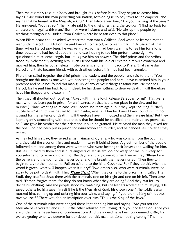Then the assembly rose as a body and brought Jesus before Pilate. They began to accuse him, saying, "We found this man perverting our nation, forbidding us to pay taxes to the emperor, and saying that he himself is the Messiah, a king." Then Pilate asked him, "Are you the king of the Jews?" He answered, "You say so." Then Pilate said to the chief priests and the crowds, "I find no basis for an accusation against this man." But they were insistent and said, "He stirs up the people by teaching throughout all Judea, from Galilee where he began even to this place."

When Pilate heard this, he asked whether the man was a Galilean. And when he learned that he was under Herod's jurisdiction, he sent him off to Herod, who was himself in Jerusalem at that time. When Herod saw Jesus, he was very glad, for he had been wanting to see him for a long time, because he had heard about him and was hoping to see him perform some sign. He questioned him at some length, but Jesus gave him no answer. The chief priests and the scribes stood by, vehemently accusing him. Even Herod with his soldiers treated him with contempt and mocked him; then he put an elegant robe on him, and sent him back to Pilate. That same day Herod and Pilate became friends with each other; before this they had been enemies.

Pilate then called together the chief priests, the leaders, and the people, and said to them, "You brought me this man as one who was perverting the people; and here I have examined him in your presence and have not found this man guilty of any of your charges against him. Neither has Herod, for he sent him back to us. Indeed, he has done nothing to deserve death. I will therefore have him flogged and release him."

Then they all shouted out together, "Away with this fellow! Release Barabbas for us!" (This was a man who had been put in prison for an insurrection that had taken place in the city, and for murder.) Pilate, wanting to release Jesus, addressed them again; but they kept shouting, "Crucify, crucify him!" A third time he said to them, "Why, what evil has he done? I have found in him no ground for the sentence of death; I will therefore have him flogged and then release him." But they kept urgently demanding with loud shouts that he should be crucified; and their voices prevailed. So Pilate gave his verdict that their demand should be granted. He released the man they asked for, the one who had been put in prison for insurrection and murder, and he handed Jesus over as they wished.

As they led him away, they seized a man, Simon of Cyrene, who was coming from the country, and they laid the cross on him, and made him carry it behind Jesus. A great number of the people followed him, and among them were women who were beating their breasts and wailing for him. But Jesus turned to them and said, "Daughters of Jerusalem, do not weep for me, but weep for yourselves and for your children. For the days are surely coming when they will say, 'Blessed are the barren, and the wombs that never bore, and the breasts that never nursed.' Then they will begin to say to the mountains, 'Fall on us'; and to the hills, 'Cover us.' For if they do this when the wood is green, what will happen when it is dry?" Two others also, who were criminals, were led away to be put to death with him. *Please Stand*. When they came to the place that is called The Skull, they crucified Jesus there with the criminals, one on his right and one on his left. Then Jesus said, "Father, forgive them; for they do not know what they are doing." And they cast lots to divide his clothing. And the people stood by, watching; but the leaders scoffed at him, saying, "He saved others; let him save himself if he is the Messiah of God, his chosen one!" The soldiers also mocked him, coming up and offering him sour wine, and saying, "If you are the King of the Jews, save yourself!" There was also an inscription over him, "This is the King of the Jews."

One of the criminals who were hanged there kept deriding him and saying, "Are you not the Messiah? Save yourself and us!" But the other rebuked him, saying, "Do you not fear God, since you are under the same sentence of condemnation? And we indeed have been condemned justly, for we are getting what we deserve for our deeds, but this man has done nothing wrong." Then he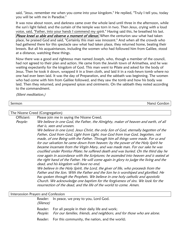said, "Jesus, remember me when you come into your kingdom." He replied, "Truly I tell you, today you will be with me in Paradise."

It was now about noon, and darkness came over the whole land until three in the afternoon, while the sun's light failed; and the curtain of the temple was torn in two. Then Jesus, crying with a loud voice, said, "Father, into your hands I commend my spirit." Having said this, he breathed his last. **Please kneel as able and observe a moment of silence.** When the centurion saw what had taken place, he praised God and said, "Certainly this man was innocent." And when all the crowds who had gathered there for this spectacle saw what had taken place, they returned home, beating their breasts. But all his acquaintances, including the women who had followed him from Galilee, stood at a distance, watching these things.

Now there was a good and righteous man named Joseph, who, though a member of the council, had not agreed to their plan and action. He came from the Jewish town of Arimathea, and he was waiting expectantly for the kingdom of God. This man went to Pilate and asked for the body of Jesus. Then he took it down, wrapped it in a linen cloth, and laid it in a rock-hewn tomb where no one had ever been laid. It was the day of Preparation, and the sabbath was beginning. The women who had come with him from Galilee followed, and they saw the tomb and how his body was laid. Then they returned, and prepared spices and ointments. On the sabbath they rested according to the commandment.

(Silent meditation.)

| Gordon<br>Nanci |
|-----------------|
|                 |

The Nicene Creed (Congregation)

Officiant: Please join me in saying the Nicene Creed. People: We believe in one God, the Father, the Almighty, maker of heaven and earth, of all that is, seen and unseen.

We believe in one Lord, Jesus Christ, the only Son of God, eternally begotten of the Father, God from God, Light from Light, true God from true God, begotten, not made, of one Being with the Father. Through him all things were made. For us and for our salvation he came down from heaven: by the power of the Holy Spirit he became incarnate from the Virgin Mary, and was made man. For our sake he was crucified under Pontius Pilate; he suffered death and was buried. On the third day he rose again in accordance with the Scriptures; he ascended into heaven and is seated at the right hand of the Father. He will come again in glory to judge the living and the dead, and his kingdom will have no end. We believe in the Holy Spirit, the Lord, the giver of life, who proceeds from the

Father and the Son. With the Father and the Son he is worshiped and glorified. He has spoken through the Prophets. We believe in one holy catholic and apostolic Church. We acknowledge one baptism for the forgiveness of sins. We look for the resurrection of the dead, and the life of the world to come. Amen.

Intercession Prayers and Confession

| (Silence) | Reader: In peace, we pray to you, Lord God.                                                                                            |
|-----------|----------------------------------------------------------------------------------------------------------------------------------------|
|           | Reader: For all people in their daily life and work;<br>People: For our families, friends, and neighbors, and for those who are alone. |
|           | Reader: For this community, the nation, and the world;                                                                                 |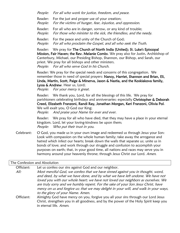People: For all who work for justice, freedom, and peace.

Reader: For the just and proper use of your creation; People: For the victims of hunger, fear, injustice, and oppression.

Reader: For all who are in danger, sorrow, or any kind of trouble; People: For those who minister to the sick, the friendless, and the needy.

Reader: For the peace and unity of the Church of God;

People: For all who proclaim the Gospel, and all who seek the Truth.

Reader: We pray for The Church of North India (United); St. Luke's Episcopal Mission, Fair Haven; the Rev. Melanie Combs. We pray also for Justin, Archbishop of Canterbury, Michael, our Presiding Bishop, Shannon, our Bishop, and Sarah, our priest. We pray for all bishops and other ministers. People: For all who serve God in his Church.

Reader: We pray for the special needs and concerns of this congregation. We remember those in need of special prayers: Nancy, Harriet, Shannon and Brian, Eli, Linda, Martin, Scott, Paige & Minerva, Jason & Nastia, and the Koskiakova family, Lyssa & Andrew. Hear us, Lord;

People: For your mercy is great.

Reader: We thank you, Lord, for all the blessings of this life. We pray for parishioners celebrating birthdays and anniversaries: especially Christopher & Deborah Creed, Elizabeth Franzoni, Randi Ray, Jonathan Morgan, Keri Franzoni, Olivia Pol. We will exalt you, O God our King;

People: And praise your Name for ever and ever.

Reader: We pray for all who have died, that they may have a place in your eternal kingdom. Lord, let your loving-kindness be upon them; People: Who put their trust in you.

Celebrant: O God, you made us in your own image and redeemed us through Jesus your Son: Look with compassion on the whole human family; take away the arrogance and hatred which infect our hearts; break down the walls that separate us; unite us in bonds of love; and work through our struggle and confusion to accomplish your purposes on earth; that, in your good time, all nations and races may serve you in harmony around your heavenly throne; through Jesus Christ our Lord. Amen.

## The Confession and Absolution

Officiant: Let us confess our sins against God and our neighbor.

- All: Most merciful God, we confess that we have sinned against you in thought, word, and deed, by what we have done, and by what we have left undone. We have not loved you with our whole heart; we have not loved our neighbors as ourselves. We are truly sorry and we humbly repent. For the sake of your Son Jesus Christ, have mercy on us and forgive us; that we may delight in your will, and walk in your ways, to the glory of your Name. Amen.
- Officiant: Almighty God have mercy on you, forgive you all your sins through our Lord Jesus Christ, strengthen you in all goodness, and by the power of the Holy Spirit keep you in eternal life. Amen.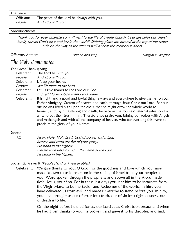## The Peace

| Officiant: | The peace of the Lord be always with you. |
|------------|-------------------------------------------|
| People:    | And also with you.                        |

## Announcements

Thank you for your financial commitment to the life of Trinity Church. Your gift helps our church family spread God's love and joy in the world! Offering plates are located at the top of the center aisle on the way to the altar as well as near the center exit doors.

| <b>Offertory Anthem</b> | And no bird sang                                                                        | Douglas E. Wagner |  |  |  |  |
|-------------------------|-----------------------------------------------------------------------------------------|-------------------|--|--|--|--|
| The Holy Communion      |                                                                                         |                   |  |  |  |  |
| The Great Thanksgiving  |                                                                                         |                   |  |  |  |  |
| Celebrant:              | The Lord be with you.                                                                   |                   |  |  |  |  |
| People:                 | And also with you.                                                                      |                   |  |  |  |  |
| Celebrant:              | Lift up your hearts.                                                                    |                   |  |  |  |  |
| People:                 | We lift them to the Lord.                                                               |                   |  |  |  |  |
| Celebrant:              | Let us give thanks to the Lord our God.                                                 |                   |  |  |  |  |
| People:                 | It is right to give God thanks and praise.                                              |                   |  |  |  |  |
| Celebrant:              | It is right, and a good and joyful thing, always and everywhere to give thanks to you,  |                   |  |  |  |  |
|                         | Father Almighty, Creator of heaven and earth, through Jesus Christ our Lord. For our    |                   |  |  |  |  |
|                         | sins he was lifted high upon the cross, that he might draw the whole world to           |                   |  |  |  |  |
|                         | himself; and, by his suffering and death, he became the source of eternal salvation for |                   |  |  |  |  |
|                         | all who put their trust in him. Therefore we praise you, joining our voices with Angels |                   |  |  |  |  |
|                         | and Archangels and with all the company of heaven, who for ever sing this hymn to       |                   |  |  |  |  |
|                         | proclaim the glory of your Name:                                                        |                   |  |  |  |  |
| Constrat                |                                                                                         |                   |  |  |  |  |

### Sanctus

All: Holy, Holy, Holy Lord, God of power and might, heaven and earth are full of your glory. Hosanna in the highest. Blessed is he who comes in the name of the Lord. Hosanna in the highest.

## Eucharistic Prayer B (People stand or kneel as able.)

Celebrant: We give thanks to you, O God, for the goodness and love which you have made known to us in creation; in the calling of Israel to be your people; in your Word spoken through the prophets; and above all in the Word made flesh, Jesus, your Son. For in these last days you sent him to be incarnate from the Virgin Mary, to be the Savior and Redeemer of the world. In him, you have delivered us from evil, and made us worthy to stand before you. In him, you have brought us out of error into truth, out of sin into righteousness, out of death into life.

> On the night before he died for us, our Lord Jesus Christ took bread; and when he had given thanks to you, he broke it, and gave it to his disciples, and said,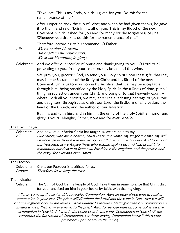"Take, eat: This is my Body, which is given for you. Do this for the remembrance of me."

After supper he took the cup of wine; and when he had given thanks, he gave it to them, and said, "Drink this, all of you: This is my Blood of the new Covenant, which is shed for you and for many for the forgiveness of sins. Whenever you drink it, do this for the remembrance of me."

Therefore, according to his command, O Father, All: We remember his death, We proclaim his resurrection, We await his coming in glory;

Celebrant: And we offer our sacrifice of praise and thanksgiving to you, O Lord of all; presenting to you, from your creation, this bread and this wine.

> We pray you, gracious God, to send your Holy Spirit upon these gifts that they may be the Sacrament of the Body of Christ and his Blood of the new Covenant. Unite us to your Son in his sacrifice, that we may be acceptable through him, being sanctified by the Holy Spirit. In the fullness of time, put all things in subjection under your Christ, and bring us to that heavenly country where, with all your saints, we may enter the everlasting heritage of your sons and daughters; through Jesus Christ our Lord, the firstborn of all creation, the head of the Church, and the author of our salvation.

> By him, and with him, and in him, in the unity of the Holy Spirit all honor and glory is yours, Almighty Father, now and for ever. AMEN.

| The Lord's Prayer  |                                                                                                                                                                                                                                                                                                                                                                                                                                                                                                                |  |
|--------------------|----------------------------------------------------------------------------------------------------------------------------------------------------------------------------------------------------------------------------------------------------------------------------------------------------------------------------------------------------------------------------------------------------------------------------------------------------------------------------------------------------------------|--|
| Celebrant:<br>All: | And now, as our Savior Christ has taught us, we are bold to say,<br>Our Father, who art in heaven, hallowed be thy Name, thy kingdom come, thy will<br>be done, on earth as it is in heaven. Give us this day our daily bread. And forgive us<br>our trespasses, as we forgive those who trespass against us. And lead us not into<br>temptation, but deliver us from evil. For thine is the kingdom, and the power, and<br>the glory, for ever and ever. Amen.                                                |  |
| The Fraction       |                                                                                                                                                                                                                                                                                                                                                                                                                                                                                                                |  |
| Celebrant:         | Christ our Passover is sacrificed for us.                                                                                                                                                                                                                                                                                                                                                                                                                                                                      |  |
| People:            | Therefore, let us keep the feast.                                                                                                                                                                                                                                                                                                                                                                                                                                                                              |  |
| The Invitation     |                                                                                                                                                                                                                                                                                                                                                                                                                                                                                                                |  |
| Celebrant:         | The Gifts of God for the People of God. Take them in remembrance that Christ died<br>for you, and feed on him in your hearts by faith, with thanksgiving.                                                                                                                                                                                                                                                                                                                                                      |  |
|                    | All may come up the center aisle to receive Communion. Alert an usher if you wish to receive<br>communion in your seat. The priest will distribute the bread and the wine in "kits" that we will<br>consume together once all are served. Those wishing to receive a blessing instead of Communion are<br>invited to cross their arms as a signal to the priest. Also, for various reasons, some opt to receive<br>communion in "one kind" i.e. only the bread or only the wine. Communion in "one kind" still |  |

constitutes the full receipt of Communion. Let those serving Communion know if this is your preference upon arrival to the railing.